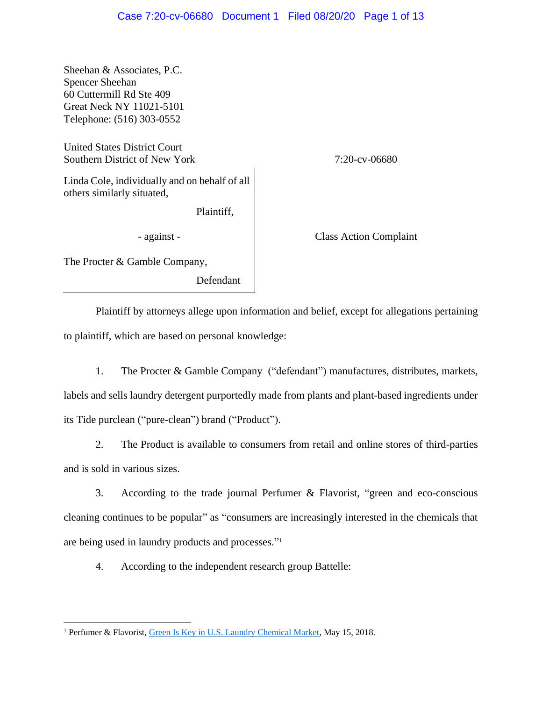Sheehan & Associates, P.C. Spencer Sheehan 60 Cuttermill Rd Ste 409 Great Neck NY 11021-5101 Telephone: (516) 303-0552

United States District Court Southern District of New York 7:20-cv-06680

Linda Cole, individually and on behalf of all others similarly situated,

Plaintiff,

The Procter & Gamble Company,

Defendant

- against - Class Action Complaint

Plaintiff by attorneys allege upon information and belief, except for allegations pertaining to plaintiff, which are based on personal knowledge:

1. The Procter & Gamble Company ("defendant") manufactures, distributes, markets, labels and sells laundry detergent purportedly made from plants and plant-based ingredients under its Tide purclean ("pure-clean") brand ("Product").

2. The Product is available to consumers from retail and online stores of third-parties and is sold in various sizes.

3. According to the trade journal Perfumer & Flavorist, "green and eco-conscious cleaning continues to be popular" as "consumers are increasingly interested in the chemicals that are being used in laundry products and processes." 1

4. According to the independent research group Battelle:

<sup>&</sup>lt;sup>1</sup> Perfumer & Flavorist, [Green Is Key in U.S. Laundry Chemical Market,](https://www.perfumerflavorist.com/fragrance/trends/Kline-Releases-Report-on-Laundry-Market-480117513.html) May 15, 2018.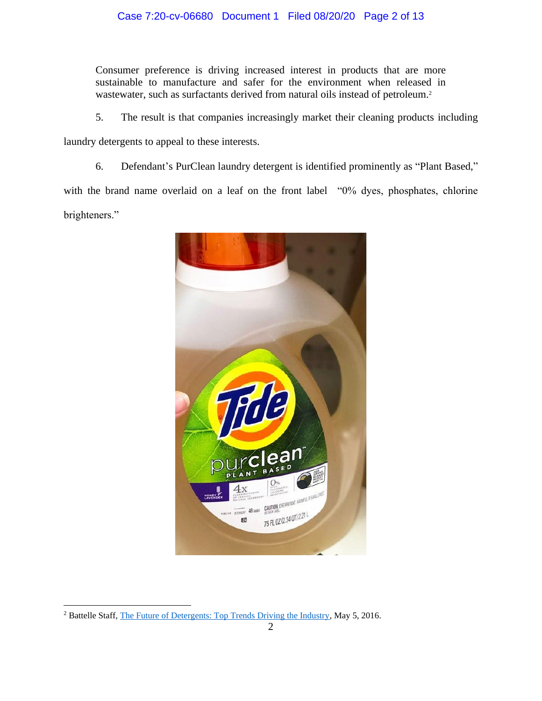Consumer preference is driving increased interest in products that are more sustainable to manufacture and safer for the environment when released in wastewater, such as surfactants derived from natural oils instead of petroleum.<sup>2</sup>

5. The result is that companies increasingly market their cleaning products including

laundry detergents to appeal to these interests.

6. Defendant's PurClean laundry detergent is identified prominently as "Plant Based,"

with the brand name overlaid on a leaf on the front label "0% dyes, phosphates, chlorine brighteners."



<sup>&</sup>lt;sup>2</sup> Battelle Staff, [The Future of Detergents: Top Trends Driving the Industry,](https://inside.battelle.org/blog-details/the-future-of-detergents) May 5, 2016.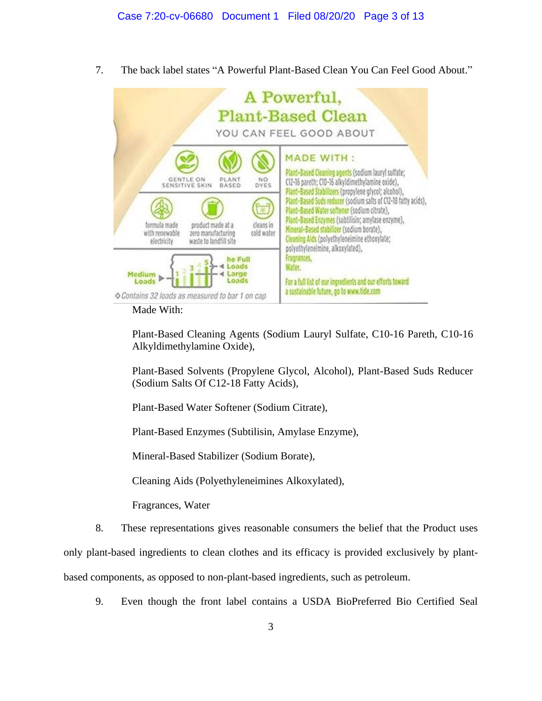7. The back label states "A Powerful Plant-Based Clean You Can Feel Good About."

| A Powerful,<br><b>Plant-Based Clean</b><br>YOU CAN FEEL GOOD ABOUT                                                                                                                                                   |                                                                                                                                                                                                                                                                                                                                                                                                                                                         |
|----------------------------------------------------------------------------------------------------------------------------------------------------------------------------------------------------------------------|---------------------------------------------------------------------------------------------------------------------------------------------------------------------------------------------------------------------------------------------------------------------------------------------------------------------------------------------------------------------------------------------------------------------------------------------------------|
| <b>GENTLE ON</b><br>PLANT<br>NO.<br>DYES<br>SENSITIVE SKIN<br>BASED<br>product made at a<br>formula made<br>cleans in<br>with renewable<br>zero manufacturing<br>cold water<br>waste to landfill site<br>electricity | <b>MADE WITH:</b><br>Plant-Based Cleaning agents (sodium lauryl sulfate;<br>(12-16 pareth; C10-16 alkyldimethylamine oxide),<br>Plant-Based Stabilizers (propylene glycol; alcohol),<br>Plant-Based Suds reducer (sodium salts of C12-18 fatty acids),<br>Plant-Based Water softener (sodium citrate),<br>Plant-Based Enzymes (subtilisin; amylase enzyme),<br>Mineral-Based stabilizer (sodium borate),<br>Geaning Aids (polyethyleneimine ethoxylate; |
| he Full<br>oads.<br>Medium<br>Large<br>Loads<br>Loads<br>Contains 32 loads as measured to bar 1 on cap                                                                                                               | polyethyleneimine, alkoxylated),<br>Fragrances,<br>Water.<br>For a full list of our ingredients and our efforts toward<br>a sustainable future, go to www.tide.com                                                                                                                                                                                                                                                                                      |

Made With:

Plant-Based Cleaning Agents (Sodium Lauryl Sulfate, C10-16 Pareth, C10-16 Alkyldimethylamine Oxide),

Plant-Based Solvents (Propylene Glycol, Alcohol), Plant-Based Suds Reducer (Sodium Salts Of C12-18 Fatty Acids),

Plant-Based Water Softener (Sodium Citrate),

Plant-Based Enzymes (Subtilisin, Amylase Enzyme),

Mineral-Based Stabilizer (Sodium Borate),

Cleaning Aids (Polyethyleneimines Alkoxylated),

Fragrances, Water

8. These representations gives reasonable consumers the belief that the Product uses

only plant-based ingredients to clean clothes and its efficacy is provided exclusively by plant-

based components, as opposed to non-plant-based ingredients, such as petroleum.

9. Even though the front label contains a USDA BioPreferred Bio Certified Seal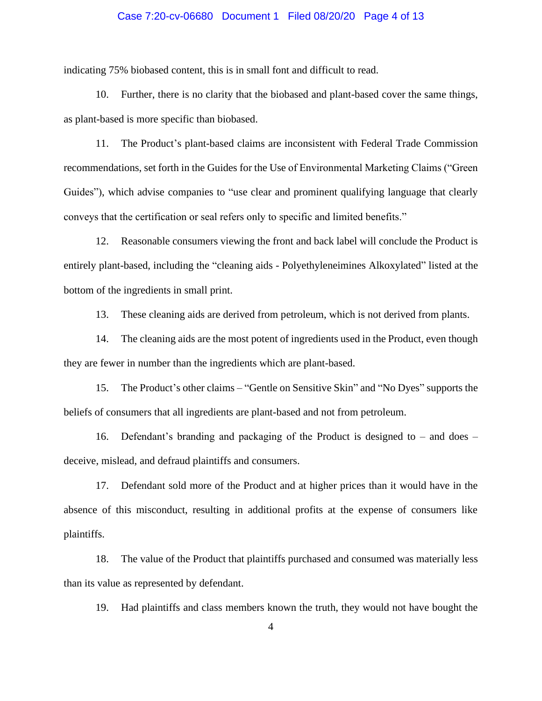# Case 7:20-cv-06680 Document 1 Filed 08/20/20 Page 4 of 13

indicating 75% biobased content, this is in small font and difficult to read.

10. Further, there is no clarity that the biobased and plant-based cover the same things, as plant-based is more specific than biobased.

11. The Product's plant-based claims are inconsistent with Federal Trade Commission recommendations, set forth in the Guides for the Use of Environmental Marketing Claims ("Green Guides"), which advise companies to "use clear and prominent qualifying language that clearly conveys that the certification or seal refers only to specific and limited benefits."

12. Reasonable consumers viewing the front and back label will conclude the Product is entirely plant-based, including the "cleaning aids - Polyethyleneimines Alkoxylated" listed at the bottom of the ingredients in small print.

13. These cleaning aids are derived from petroleum, which is not derived from plants.

14. The cleaning aids are the most potent of ingredients used in the Product, even though they are fewer in number than the ingredients which are plant-based.

15. The Product's other claims – "Gentle on Sensitive Skin" and "No Dyes" supports the beliefs of consumers that all ingredients are plant-based and not from petroleum.

16. Defendant's branding and packaging of the Product is designed to – and does – deceive, mislead, and defraud plaintiffs and consumers.

17. Defendant sold more of the Product and at higher prices than it would have in the absence of this misconduct, resulting in additional profits at the expense of consumers like plaintiffs.

18. The value of the Product that plaintiffs purchased and consumed was materially less than its value as represented by defendant.

19. Had plaintiffs and class members known the truth, they would not have bought the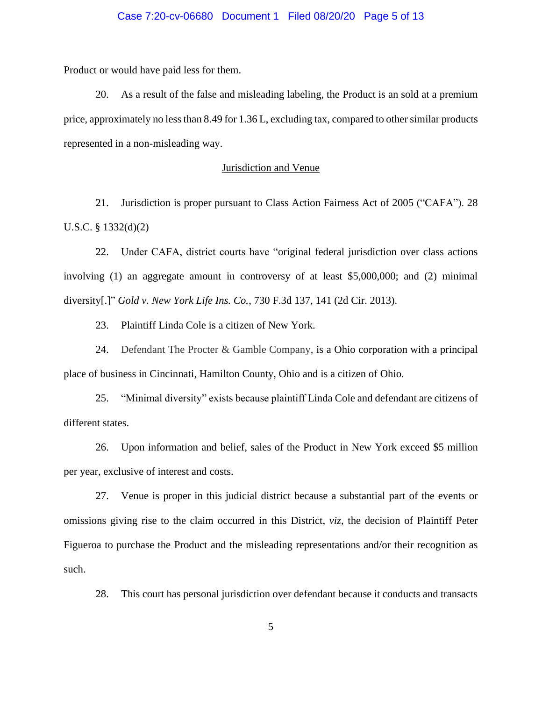# Case 7:20-cv-06680 Document 1 Filed 08/20/20 Page 5 of 13

Product or would have paid less for them.

20. As a result of the false and misleading labeling, the Product is an sold at a premium price, approximately no less than 8.49 for 1.36 L, excluding tax, compared to other similar products represented in a non-misleading way.

# Jurisdiction and Venue

21. Jurisdiction is proper pursuant to Class Action Fairness Act of 2005 ("CAFA"). 28 U.S.C. § 1332(d)(2)

22. Under CAFA, district courts have "original federal jurisdiction over class actions involving (1) an aggregate amount in controversy of at least \$5,000,000; and (2) minimal diversity[.]" *Gold v. New York Life Ins. Co.*, 730 F.3d 137, 141 (2d Cir. 2013).

23. Plaintiff Linda Cole is a citizen of New York.

24. Defendant The Procter & Gamble Company, is a Ohio corporation with a principal place of business in Cincinnati, Hamilton County, Ohio and is a citizen of Ohio.

25. "Minimal diversity" exists because plaintiff Linda Cole and defendant are citizens of different states.

26. Upon information and belief, sales of the Product in New York exceed \$5 million per year, exclusive of interest and costs.

27. Venue is proper in this judicial district because a substantial part of the events or omissions giving rise to the claim occurred in this District, *viz*, the decision of Plaintiff Peter Figueroa to purchase the Product and the misleading representations and/or their recognition as such.

28. This court has personal jurisdiction over defendant because it conducts and transacts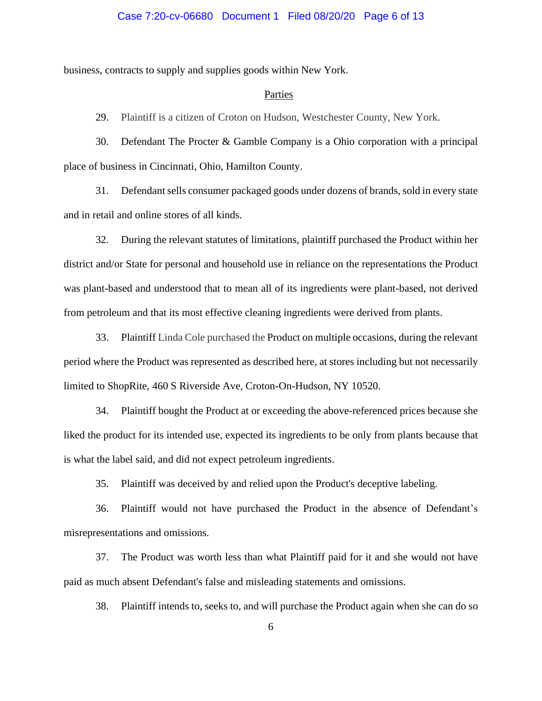# Case 7:20-cv-06680 Document 1 Filed 08/20/20 Page 6 of 13

business, contracts to supply and supplies goods within New York.

# Parties

29. Plaintiff is a citizen of Croton on Hudson, Westchester County, New York.

30. Defendant The Procter & Gamble Company is a Ohio corporation with a principal place of business in Cincinnati, Ohio, Hamilton County.

31. Defendantsells consumer packaged goods under dozens of brands, sold in every state and in retail and online stores of all kinds.

32. During the relevant statutes of limitations, plaintiff purchased the Product within her district and/or State for personal and household use in reliance on the representations the Product was plant-based and understood that to mean all of its ingredients were plant-based, not derived from petroleum and that its most effective cleaning ingredients were derived from plants.

33. Plaintiff Linda Cole purchased the Product on multiple occasions, during the relevant period where the Product was represented as described here, at stores including but not necessarily limited to ShopRite, 460 S Riverside Ave, Croton-On-Hudson, NY 10520.

34. Plaintiff bought the Product at or exceeding the above-referenced prices because she liked the product for its intended use, expected its ingredients to be only from plants because that is what the label said, and did not expect petroleum ingredients.

35. Plaintiff was deceived by and relied upon the Product's deceptive labeling.

36. Plaintiff would not have purchased the Product in the absence of Defendant's misrepresentations and omissions.

37. The Product was worth less than what Plaintiff paid for it and she would not have paid as much absent Defendant's false and misleading statements and omissions.

38. Plaintiff intends to, seeks to, and will purchase the Product again when she can do so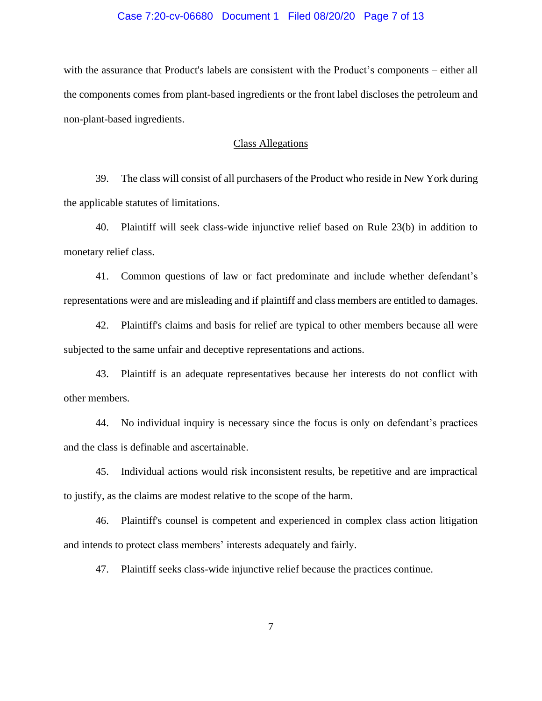# Case 7:20-cv-06680 Document 1 Filed 08/20/20 Page 7 of 13

with the assurance that Product's labels are consistent with the Product's components – either all the components comes from plant-based ingredients or the front label discloses the petroleum and non-plant-based ingredients.

# Class Allegations

39. The class will consist of all purchasers of the Product who reside in New York during the applicable statutes of limitations.

40. Plaintiff will seek class-wide injunctive relief based on Rule 23(b) in addition to monetary relief class.

41. Common questions of law or fact predominate and include whether defendant's representations were and are misleading and if plaintiff and class members are entitled to damages.

42. Plaintiff's claims and basis for relief are typical to other members because all were subjected to the same unfair and deceptive representations and actions.

43. Plaintiff is an adequate representatives because her interests do not conflict with other members.

44. No individual inquiry is necessary since the focus is only on defendant's practices and the class is definable and ascertainable.

45. Individual actions would risk inconsistent results, be repetitive and are impractical to justify, as the claims are modest relative to the scope of the harm.

46. Plaintiff's counsel is competent and experienced in complex class action litigation and intends to protect class members' interests adequately and fairly.

47. Plaintiff seeks class-wide injunctive relief because the practices continue.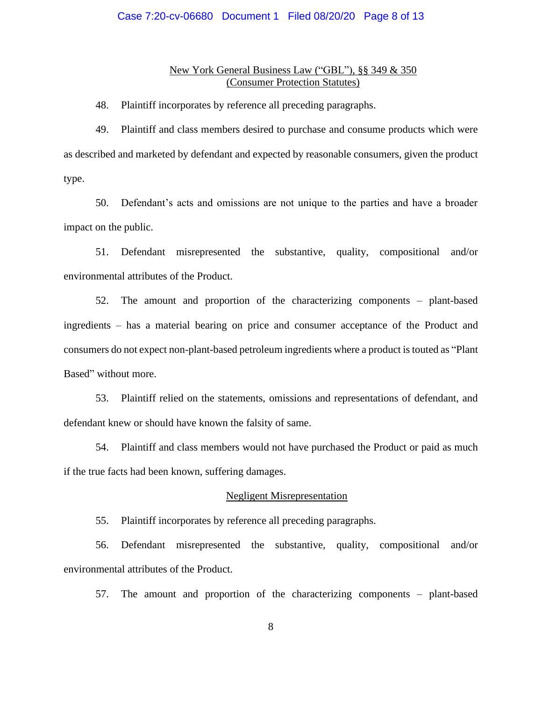# Case 7:20-cv-06680 Document 1 Filed 08/20/20 Page 8 of 13

# New York General Business Law ("GBL"), §§ 349 & 350 (Consumer Protection Statutes)

48. Plaintiff incorporates by reference all preceding paragraphs.

49. Plaintiff and class members desired to purchase and consume products which were as described and marketed by defendant and expected by reasonable consumers, given the product type.

50. Defendant's acts and omissions are not unique to the parties and have a broader impact on the public.

51. Defendant misrepresented the substantive, quality, compositional and/or environmental attributes of the Product.

52. The amount and proportion of the characterizing components – plant-based ingredients – has a material bearing on price and consumer acceptance of the Product and consumers do not expect non-plant-based petroleum ingredients where a product is touted as "Plant Based" without more.

53. Plaintiff relied on the statements, omissions and representations of defendant, and defendant knew or should have known the falsity of same.

54. Plaintiff and class members would not have purchased the Product or paid as much if the true facts had been known, suffering damages.

# Negligent Misrepresentation

55. Plaintiff incorporates by reference all preceding paragraphs.

56. Defendant misrepresented the substantive, quality, compositional and/or environmental attributes of the Product.

57. The amount and proportion of the characterizing components – plant-based

8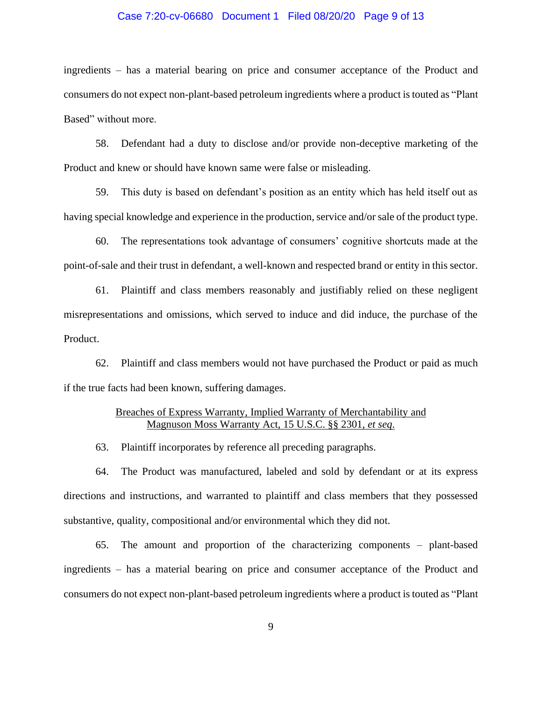# Case 7:20-cv-06680 Document 1 Filed 08/20/20 Page 9 of 13

ingredients – has a material bearing on price and consumer acceptance of the Product and consumers do not expect non-plant-based petroleum ingredients where a product is touted as "Plant Based" without more.

58. Defendant had a duty to disclose and/or provide non-deceptive marketing of the Product and knew or should have known same were false or misleading.

59. This duty is based on defendant's position as an entity which has held itself out as having special knowledge and experience in the production, service and/or sale of the product type.

60. The representations took advantage of consumers' cognitive shortcuts made at the point-of-sale and their trust in defendant, a well-known and respected brand or entity in this sector.

61. Plaintiff and class members reasonably and justifiably relied on these negligent misrepresentations and omissions, which served to induce and did induce, the purchase of the Product.

62. Plaintiff and class members would not have purchased the Product or paid as much if the true facts had been known, suffering damages.

# Breaches of Express Warranty, Implied Warranty of Merchantability and Magnuson Moss Warranty Act, 15 U.S.C. §§ 2301, *et seq*.

63. Plaintiff incorporates by reference all preceding paragraphs.

64. The Product was manufactured, labeled and sold by defendant or at its express directions and instructions, and warranted to plaintiff and class members that they possessed substantive, quality, compositional and/or environmental which they did not.

65. The amount and proportion of the characterizing components – plant-based ingredients – has a material bearing on price and consumer acceptance of the Product and consumers do not expect non-plant-based petroleum ingredients where a product is touted as "Plant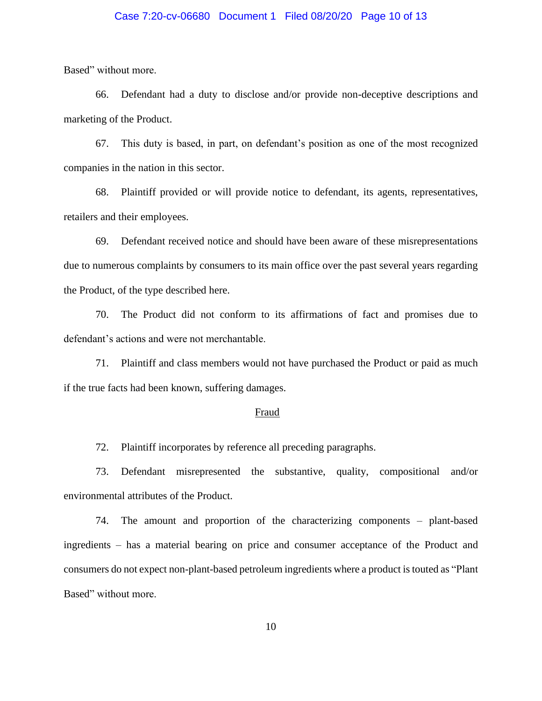# Case 7:20-cv-06680 Document 1 Filed 08/20/20 Page 10 of 13

Based" without more.

66. Defendant had a duty to disclose and/or provide non-deceptive descriptions and marketing of the Product.

67. This duty is based, in part, on defendant's position as one of the most recognized companies in the nation in this sector.

68. Plaintiff provided or will provide notice to defendant, its agents, representatives, retailers and their employees.

69. Defendant received notice and should have been aware of these misrepresentations due to numerous complaints by consumers to its main office over the past several years regarding the Product, of the type described here.

70. The Product did not conform to its affirmations of fact and promises due to defendant's actions and were not merchantable.

71. Plaintiff and class members would not have purchased the Product or paid as much if the true facts had been known, suffering damages.

#### Fraud

72. Plaintiff incorporates by reference all preceding paragraphs.

73. Defendant misrepresented the substantive, quality, compositional and/or environmental attributes of the Product.

74. The amount and proportion of the characterizing components – plant-based ingredients – has a material bearing on price and consumer acceptance of the Product and consumers do not expect non-plant-based petroleum ingredients where a product is touted as "Plant Based" without more.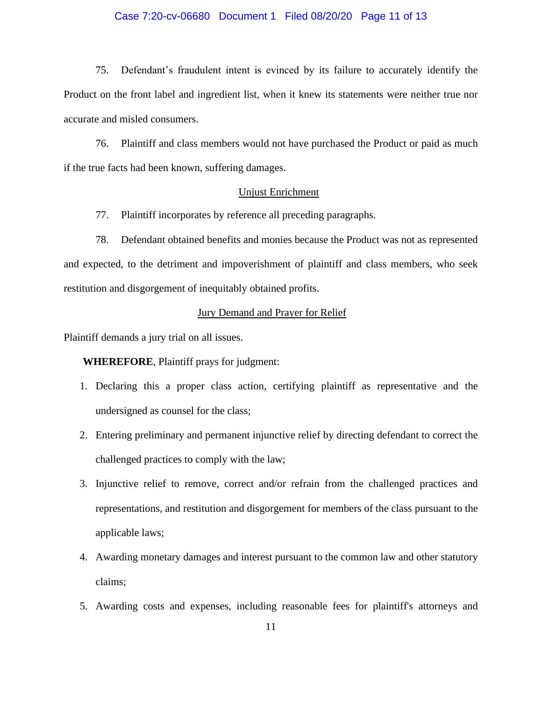# Case 7:20-cv-06680 Document 1 Filed 08/20/20 Page 11 of 13

75. Defendant's fraudulent intent is evinced by its failure to accurately identify the Product on the front label and ingredient list, when it knew its statements were neither true nor accurate and misled consumers.

76. Plaintiff and class members would not have purchased the Product or paid as much if the true facts had been known, suffering damages.

# Unjust Enrichment

77. Plaintiff incorporates by reference all preceding paragraphs.

78. Defendant obtained benefits and monies because the Product was not as represented and expected, to the detriment and impoverishment of plaintiff and class members, who seek restitution and disgorgement of inequitably obtained profits.

# Jury Demand and Prayer for Relief

Plaintiff demands a jury trial on all issues.

**WHEREFORE**, Plaintiff prays for judgment:

- 1. Declaring this a proper class action, certifying plaintiff as representative and the undersigned as counsel for the class;
- 2. Entering preliminary and permanent injunctive relief by directing defendant to correct the challenged practices to comply with the law;
- 3. Injunctive relief to remove, correct and/or refrain from the challenged practices and representations, and restitution and disgorgement for members of the class pursuant to the applicable laws;
- 4. Awarding monetary damages and interest pursuant to the common law and other statutory claims;
- 5. Awarding costs and expenses, including reasonable fees for plaintiff's attorneys and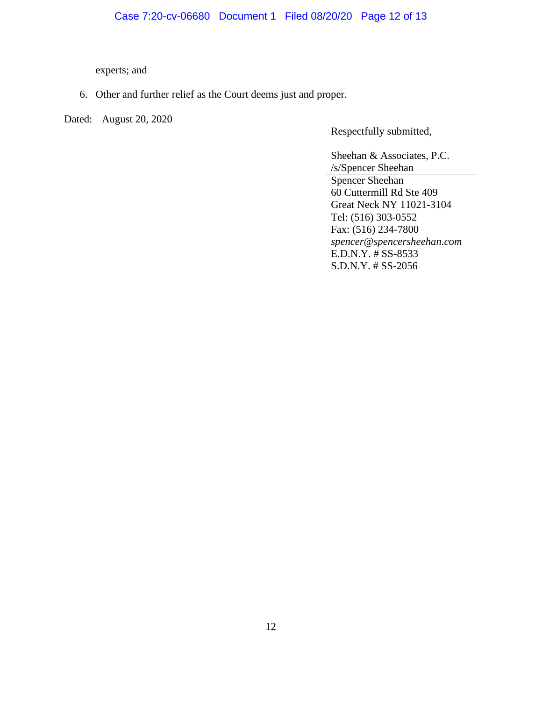experts; and

6. Other and further relief as the Court deems just and proper.

Dated: August 20, 2020

Respectfully submitted,

Sheehan & Associates, P.C. /s/Spencer Sheehan Spencer Sheehan 60 Cuttermill Rd Ste 409 Great Neck NY 11021-3104 Tel: (516) 303-0552 Fax: (516) 234-7800 *spencer@spencersheehan.com* E.D.N.Y. # SS-8533 S.D.N.Y. # SS-2056